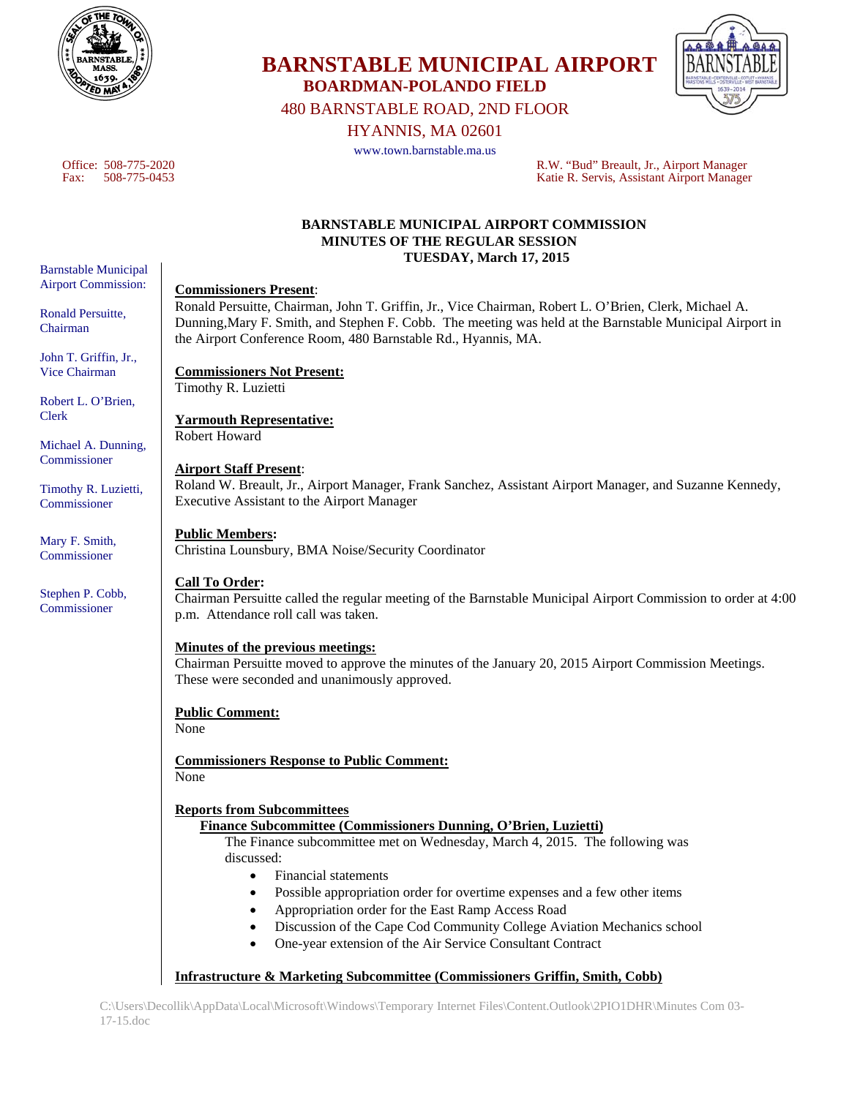

**BOARDMAN-POLANDO FIELD**  480 BARNSTABLE ROAD, 2ND FLOOR

HYANNIS, MA 02601

**BARNSTABLE MUNICIPAL AIRPORT** 

www.town.barnstable.ma.us

Office: 508-775-2020 R.W. "Bud" Breault, Jr., Airport Manager Katie R. Servis, Assistant Airport Manager

#### **BARNSTABLE MUNICIPAL AIRPORT COMMISSION MINUTES OF THE REGULAR SESSION TUESDAY, March 17, 2015**

### **Commissioners Present**:

Ronald Persuitte, Chairman, John T. Griffin, Jr., Vice Chairman, Robert L. O'Brien, Clerk, Michael A. Dunning,Mary F. Smith, and Stephen F. Cobb. The meeting was held at the Barnstable Municipal Airport in the Airport Conference Room, 480 Barnstable Rd., Hyannis, MA.

#### **Commissioners Not Present:**  Timothy R. Luzietti

**Yarmouth Representative:**  Robert Howard

# **Airport Staff Present**:

Roland W. Breault, Jr., Airport Manager, Frank Sanchez, Assistant Airport Manager, and Suzanne Kennedy, Executive Assistant to the Airport Manager

# **Public Members:**

Christina Lounsbury, BMA Noise/Security Coordinator

#### **Call To Order:**

Chairman Persuitte called the regular meeting of the Barnstable Municipal Airport Commission to order at 4:00 p.m. Attendance roll call was taken.

#### **Minutes of the previous meetings:**

Chairman Persuitte moved to approve the minutes of the January 20, 2015 Airport Commission Meetings. These were seconded and unanimously approved.

#### **Public Comment:**

None

**Commissioners Response to Public Comment:**  None

#### **Reports from Subcommittees**

# **Finance Subcommittee (Commissioners Dunning, O'Brien, Luzietti)**

The Finance subcommittee met on Wednesday, March 4, 2015. The following was discussed:

- Financial statements
- Possible appropriation order for overtime expenses and a few other items
- Appropriation order for the East Ramp Access Road
- Discussion of the Cape Cod Community College Aviation Mechanics school
- One-year extension of the Air Service Consultant Contract

# **Infrastructure & Marketing Subcommittee (Commissioners Griffin, Smith, Cobb)**

Barnstable Municipal Airport Commission:

Ronald Persuitte, Chairman

John T. Griffin, Jr., Vice Chairman

Robert L. O'Brien, Clerk

Michael A. Dunning, Commissioner

Timothy R. Luzietti, Commissioner

Mary F. Smith, Commissioner

Stephen P. Cobb, Commissioner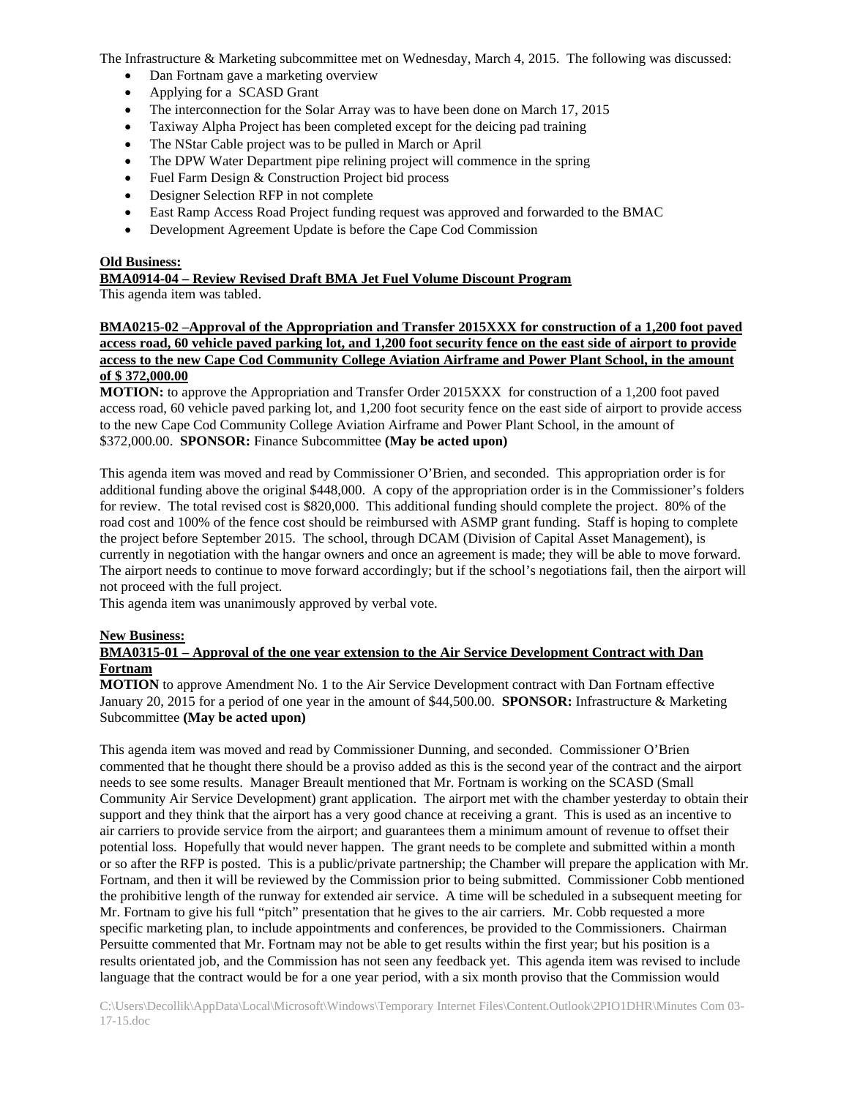The Infrastructure & Marketing subcommittee met on Wednesday, March 4, 2015. The following was discussed:

- Dan Fortnam gave a marketing overview
- Applying for a SCASD Grant
- The interconnection for the Solar Array was to have been done on March 17, 2015
- Taxiway Alpha Project has been completed except for the deicing pad training
- The NStar Cable project was to be pulled in March or April
- The DPW Water Department pipe relining project will commence in the spring
- Fuel Farm Design & Construction Project bid process
- Designer Selection RFP in not complete
- East Ramp Access Road Project funding request was approved and forwarded to the BMAC
- Development Agreement Update is before the Cape Cod Commission

#### **Old Business:**

### **BMA0914-04 – Review Revised Draft BMA Jet Fuel Volume Discount Program**

This agenda item was tabled.

# **BMA0215-02 –Approval of the Appropriation and Transfer 2015XXX for construction of a 1,200 foot paved access road, 60 vehicle paved parking lot, and 1,200 foot security fence on the east side of airport to provide access to the new Cape Cod Community College Aviation Airframe and Power Plant School, in the amount of \$ 372,000.00**

**MOTION:** to approve the Appropriation and Transfer Order 2015XXX for construction of a 1,200 foot paved access road, 60 vehicle paved parking lot, and 1,200 foot security fence on the east side of airport to provide access to the new Cape Cod Community College Aviation Airframe and Power Plant School, in the amount of \$372,000.00. **SPONSOR:** Finance Subcommittee **(May be acted upon)** 

This agenda item was moved and read by Commissioner O'Brien, and seconded. This appropriation order is for additional funding above the original \$448,000. A copy of the appropriation order is in the Commissioner's folders for review. The total revised cost is \$820,000. This additional funding should complete the project. 80% of the road cost and 100% of the fence cost should be reimbursed with ASMP grant funding. Staff is hoping to complete the project before September 2015. The school, through DCAM (Division of Capital Asset Management), is currently in negotiation with the hangar owners and once an agreement is made; they will be able to move forward. The airport needs to continue to move forward accordingly; but if the school's negotiations fail, then the airport will not proceed with the full project.

This agenda item was unanimously approved by verbal vote.

#### **New Business:**

#### **BMA0315-01 – Approval of the one year extension to the Air Service Development Contract with Dan Fortnam**

**MOTION** to approve Amendment No. 1 to the Air Service Development contract with Dan Fortnam effective January 20, 2015 for a period of one year in the amount of \$44,500.00. **SPONSOR:** Infrastructure & Marketing Subcommittee **(May be acted upon)** 

This agenda item was moved and read by Commissioner Dunning, and seconded. Commissioner O'Brien commented that he thought there should be a proviso added as this is the second year of the contract and the airport needs to see some results. Manager Breault mentioned that Mr. Fortnam is working on the SCASD (Small Community Air Service Development) grant application. The airport met with the chamber yesterday to obtain their support and they think that the airport has a very good chance at receiving a grant. This is used as an incentive to air carriers to provide service from the airport; and guarantees them a minimum amount of revenue to offset their potential loss. Hopefully that would never happen. The grant needs to be complete and submitted within a month or so after the RFP is posted. This is a public/private partnership; the Chamber will prepare the application with Mr. Fortnam, and then it will be reviewed by the Commission prior to being submitted. Commissioner Cobb mentioned the prohibitive length of the runway for extended air service. A time will be scheduled in a subsequent meeting for Mr. Fortnam to give his full "pitch" presentation that he gives to the air carriers. Mr. Cobb requested a more specific marketing plan, to include appointments and conferences, be provided to the Commissioners. Chairman Persuitte commented that Mr. Fortnam may not be able to get results within the first year; but his position is a results orientated job, and the Commission has not seen any feedback yet. This agenda item was revised to include language that the contract would be for a one year period, with a six month proviso that the Commission would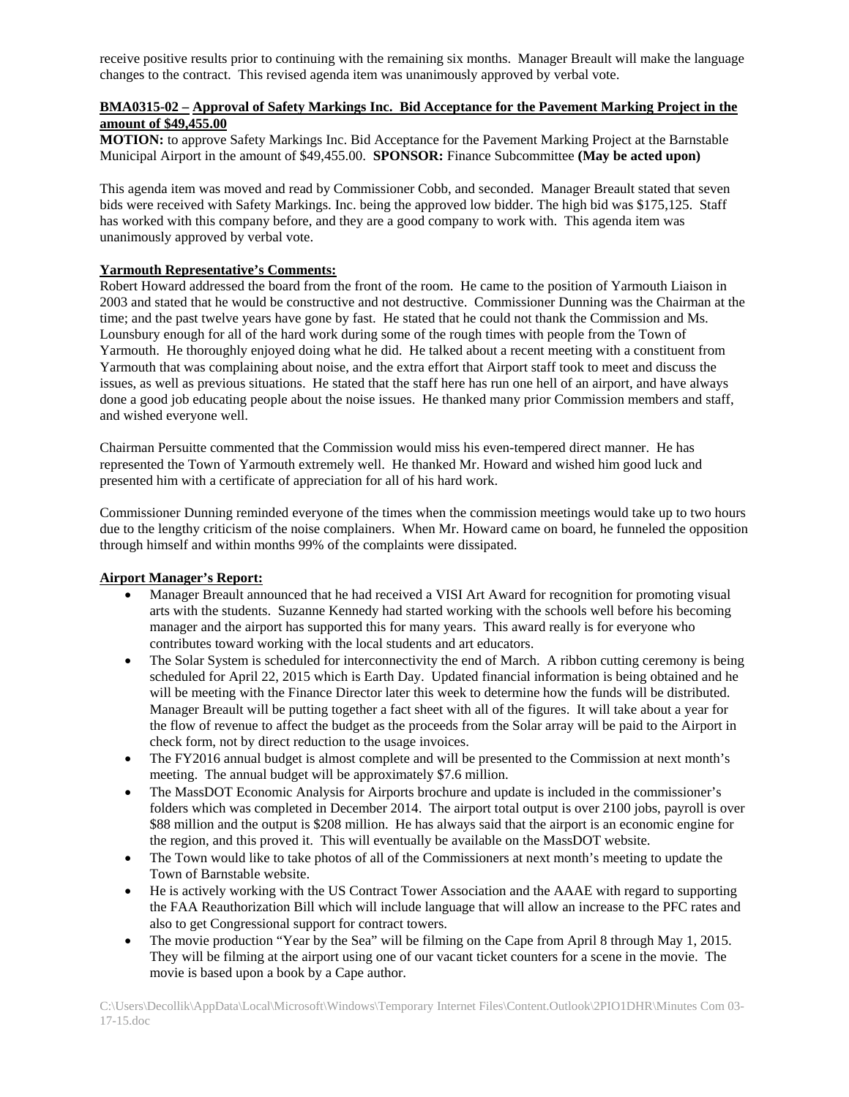receive positive results prior to continuing with the remaining six months. Manager Breault will make the language changes to the contract. This revised agenda item was unanimously approved by verbal vote.

# **BMA0315-02 – Approval of Safety Markings Inc. Bid Acceptance for the Pavement Marking Project in the amount of \$49,455.00**

**MOTION:** to approve Safety Markings Inc. Bid Acceptance for the Pavement Marking Project at the Barnstable Municipal Airport in the amount of \$49,455.00. **SPONSOR:** Finance Subcommittee **(May be acted upon)** 

This agenda item was moved and read by Commissioner Cobb, and seconded. Manager Breault stated that seven bids were received with Safety Markings. Inc. being the approved low bidder. The high bid was \$175,125. Staff has worked with this company before, and they are a good company to work with. This agenda item was unanimously approved by verbal vote.

#### **Yarmouth Representative's Comments:**

Robert Howard addressed the board from the front of the room. He came to the position of Yarmouth Liaison in 2003 and stated that he would be constructive and not destructive. Commissioner Dunning was the Chairman at the time; and the past twelve years have gone by fast. He stated that he could not thank the Commission and Ms. Lounsbury enough for all of the hard work during some of the rough times with people from the Town of Yarmouth. He thoroughly enjoyed doing what he did. He talked about a recent meeting with a constituent from Yarmouth that was complaining about noise, and the extra effort that Airport staff took to meet and discuss the issues, as well as previous situations. He stated that the staff here has run one hell of an airport, and have always done a good job educating people about the noise issues. He thanked many prior Commission members and staff, and wished everyone well.

Chairman Persuitte commented that the Commission would miss his even-tempered direct manner. He has represented the Town of Yarmouth extremely well. He thanked Mr. Howard and wished him good luck and presented him with a certificate of appreciation for all of his hard work.

Commissioner Dunning reminded everyone of the times when the commission meetings would take up to two hours due to the lengthy criticism of the noise complainers. When Mr. Howard came on board, he funneled the opposition through himself and within months 99% of the complaints were dissipated.

### **Airport Manager's Report:**

- Manager Breault announced that he had received a VISI Art Award for recognition for promoting visual arts with the students. Suzanne Kennedy had started working with the schools well before his becoming manager and the airport has supported this for many years. This award really is for everyone who contributes toward working with the local students and art educators.
- The Solar System is scheduled for interconnectivity the end of March. A ribbon cutting ceremony is being scheduled for April 22, 2015 which is Earth Day. Updated financial information is being obtained and he will be meeting with the Finance Director later this week to determine how the funds will be distributed. Manager Breault will be putting together a fact sheet with all of the figures. It will take about a year for the flow of revenue to affect the budget as the proceeds from the Solar array will be paid to the Airport in check form, not by direct reduction to the usage invoices.
- The FY2016 annual budget is almost complete and will be presented to the Commission at next month's meeting. The annual budget will be approximately \$7.6 million.
- The MassDOT Economic Analysis for Airports brochure and update is included in the commissioner's folders which was completed in December 2014. The airport total output is over 2100 jobs, payroll is over \$88 million and the output is \$208 million. He has always said that the airport is an economic engine for the region, and this proved it. This will eventually be available on the MassDOT website.
- The Town would like to take photos of all of the Commissioners at next month's meeting to update the Town of Barnstable website.
- He is actively working with the US Contract Tower Association and the AAAE with regard to supporting the FAA Reauthorization Bill which will include language that will allow an increase to the PFC rates and also to get Congressional support for contract towers.
- The movie production "Year by the Sea" will be filming on the Cape from April 8 through May 1, 2015. They will be filming at the airport using one of our vacant ticket counters for a scene in the movie. The movie is based upon a book by a Cape author.